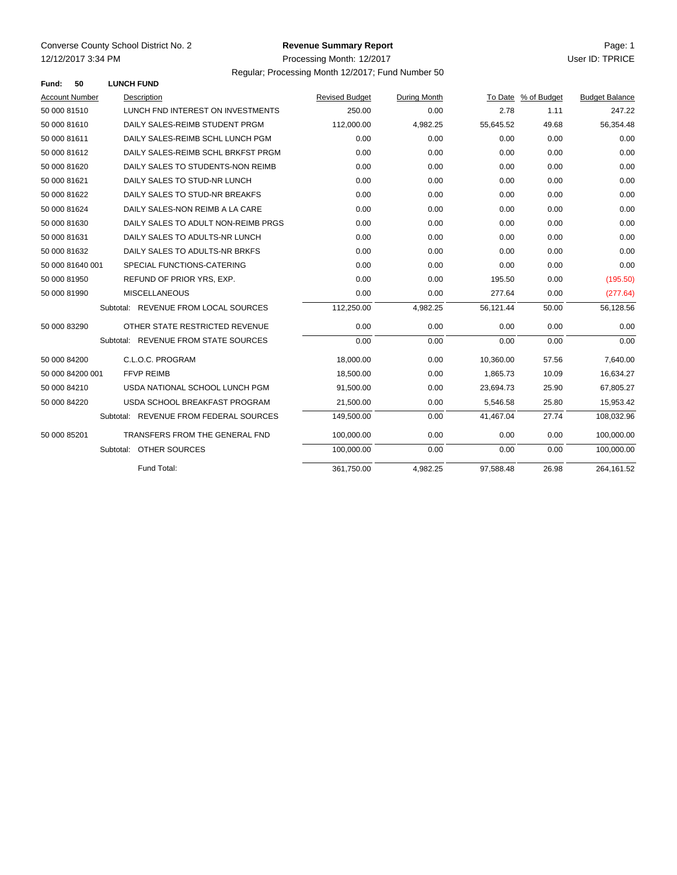## **Revenue Summary Report**

Regular; Processing Month 12/2017; Fund Number 50

| Fund:                 | 50               | <b>LUNCH FUND</b>                      |                       |              |           |                     |                       |
|-----------------------|------------------|----------------------------------------|-----------------------|--------------|-----------|---------------------|-----------------------|
| <b>Account Number</b> |                  | Description                            | <b>Revised Budget</b> | During Month |           | To Date % of Budget | <b>Budget Balance</b> |
| 50 000 81510          |                  | LUNCH FND INTEREST ON INVESTMENTS      | 250.00                | 0.00         | 2.78      | 1.11                | 247.22                |
| 50 000 81610          |                  | DAILY SALES-REIMB STUDENT PRGM         | 112,000.00            | 4,982.25     | 55,645.52 | 49.68               | 56,354.48             |
| 50 000 81611          |                  | DAILY SALES-REIMB SCHL LUNCH PGM       | 0.00                  | 0.00         | 0.00      | 0.00                | 0.00                  |
| 50 000 81612          |                  | DAILY SALES-REIMB SCHL BRKFST PRGM     | 0.00                  | 0.00         | 0.00      | 0.00                | 0.00                  |
| 50 000 81620          |                  | DAILY SALES TO STUDENTS-NON REIMB      | 0.00                  | 0.00         | 0.00      | 0.00                | 0.00                  |
| 50 000 81621          |                  | DAILY SALES TO STUD-NR LUNCH           | 0.00                  | 0.00         | 0.00      | 0.00                | 0.00                  |
| 50 000 81622          |                  | DAILY SALES TO STUD-NR BREAKFS         | 0.00                  | 0.00         | 0.00      | 0.00                | 0.00                  |
| 50 000 81624          |                  | DAILY SALES-NON REIMB A LA CARE        | 0.00                  | 0.00         | 0.00      | 0.00                | 0.00                  |
| 50 000 81630          |                  | DAILY SALES TO ADULT NON-REIMB PRGS    | 0.00                  | 0.00         | 0.00      | 0.00                | 0.00                  |
| 50 000 81631          |                  | DAILY SALES TO ADULTS-NR LUNCH         | 0.00                  | 0.00         | 0.00      | 0.00                | 0.00                  |
| 50 000 81632          |                  | DAILY SALES TO ADULTS-NR BRKFS         | 0.00                  | 0.00         | 0.00      | 0.00                | 0.00                  |
|                       | 50 000 81640 001 | SPECIAL FUNCTIONS-CATERING             | 0.00                  | 0.00         | 0.00      | 0.00                | 0.00                  |
| 50 000 81950          |                  | REFUND OF PRIOR YRS, EXP.              | 0.00                  | 0.00         | 195.50    | 0.00                | (195.50)              |
| 50 000 81990          |                  | <b>MISCELLANEOUS</b>                   | 0.00                  | 0.00         | 277.64    | 0.00                | (277.64)              |
|                       |                  | Subtotal: REVENUE FROM LOCAL SOURCES   | 112,250.00            | 4,982.25     | 56,121.44 | 50.00               | 56,128.56             |
| 50 000 83290          |                  | OTHER STATE RESTRICTED REVENUE         | 0.00                  | 0.00         | 0.00      | 0.00                | 0.00                  |
|                       |                  | Subtotal: REVENUE FROM STATE SOURCES   | 0.00                  | 0.00         | 0.00      | 0.00                | 0.00                  |
| 50 000 84200          |                  | C.L.O.C. PROGRAM                       | 18,000.00             | 0.00         | 10,360.00 | 57.56               | 7,640.00              |
|                       | 50 000 84200 001 | <b>FFVP REIMB</b>                      | 18,500.00             | 0.00         | 1,865.73  | 10.09               | 16,634.27             |
| 50 000 84210          |                  | USDA NATIONAL SCHOOL LUNCH PGM         | 91,500.00             | 0.00         | 23,694.73 | 25.90               | 67,805.27             |
| 50 000 84220          |                  | USDA SCHOOL BREAKFAST PROGRAM          | 21,500.00             | 0.00         | 5,546.58  | 25.80               | 15,953.42             |
|                       |                  | Subtotal: REVENUE FROM FEDERAL SOURCES | 149.500.00            | 0.00         | 41.467.04 | 27.74               | 108,032.96            |
| 50 000 85201          |                  | TRANSFERS FROM THE GENERAL FND         | 100,000.00            | 0.00         | 0.00      | 0.00                | 100,000.00            |
|                       |                  | Subtotal: OTHER SOURCES                | 100,000.00            | 0.00         | 0.00      | 0.00                | 100,000.00            |
|                       |                  | Fund Total:                            | 361,750.00            | 4,982.25     | 97,588.48 | 26.98               | 264,161.52            |